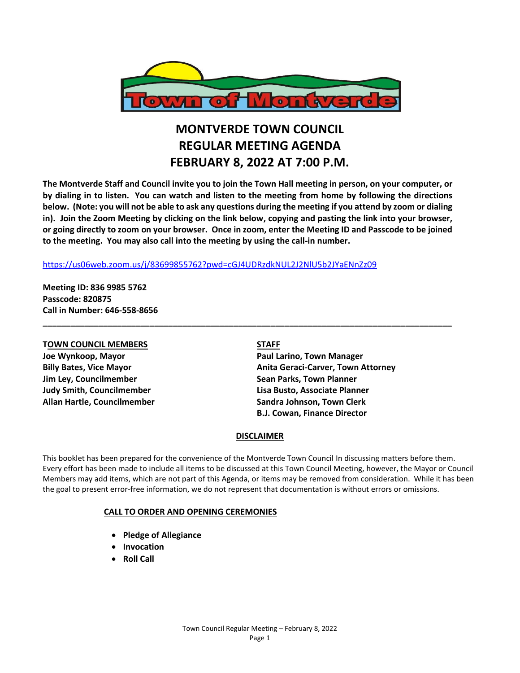

# **MONTVERDE TOWN COUNCIL REGULAR MEETING AGENDA FEBRUARY 8, 2022 AT 7:00 P.M.**

**The Montverde Staff and Council invite you to join the Town Hall meeting in person, on your computer, or by dialing in to listen. You can watch and listen to the meeting from home by following the directions below. (Note: you will not be able to ask any questions during the meeting if you attend by zoom or dialing in). Join the Zoom Meeting by clicking on the link below, copying and pasting the link into your browser, or going directly to zoom on your browser. Once in zoom, enter the Meeting ID and Passcode to be joined to the meeting. You may also call into the meeting by using the call-in number.** 

**\_\_\_\_\_\_\_\_\_\_\_\_\_\_\_\_\_\_\_\_\_\_\_\_\_\_\_\_\_\_\_\_\_\_\_\_\_\_\_\_\_\_\_\_\_\_\_\_\_\_\_\_\_\_\_\_\_\_\_\_\_\_\_\_\_\_\_\_\_\_\_\_\_\_\_\_\_\_\_\_\_\_\_\_\_\_\_\_**

### <https://us06web.zoom.us/j/83699855762?pwd=cGJ4UDRzdkNUL2J2NlU5b2JYaENnZz09>

**Meeting ID: 836 9985 5762 Passcode: 820875 Call in Number: 646-558-8656**

# **TOWN COUNCIL MEMBERS STAFF Joe Wynkoop, Mayor Paul Larino, Town Manager Jim Ley, Councilmember Compared Sean Parks, Town Planner Judy Smith, Councilmember Lisa Busto, Associate Planner**

**Billy Bates, Vice Mayor Anita Geraci-Carver, Town Attorney Allan Hartle, Councilmember Sandra Johnson, Town Clerk B.J. Cowan, Finance Director**

#### **DISCLAIMER**

This booklet has been prepared for the convenience of the Montverde Town Council In discussing matters before them. Every effort has been made to include all items to be discussed at this Town Council Meeting, however, the Mayor or Council Members may add items, which are not part of this Agenda, or items may be removed from consideration. While it has been the goal to present error-free information, we do not represent that documentation is without errors or omissions.

#### **CALL TO ORDER AND OPENING CEREMONIES**

- **Pledge of Allegiance**
- **Invocation**
- **Roll Call**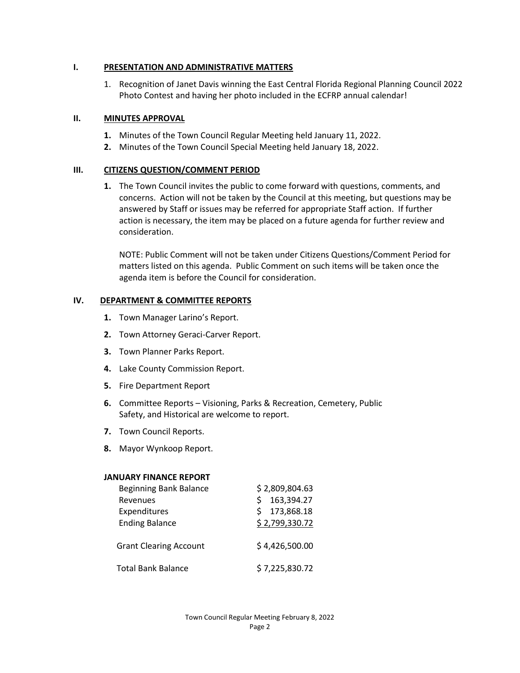#### **I. PRESENTATION AND ADMINISTRATIVE MATTERS**

1. Recognition of Janet Davis winning the East Central Florida Regional Planning Council 2022 Photo Contest and having her photo included in the ECFRP annual calendar!

### **II. MINUTES APPROVAL**

- **1.** Minutes of the Town Council Regular Meeting held January 11, 2022.
- **2.** Minutes of the Town Council Special Meeting held January 18, 2022.

### **III. CITIZENS QUESTION/COMMENT PERIOD**

**1.** The Town Council invites the public to come forward with questions, comments, and concerns. Action will not be taken by the Council at this meeting, but questions may be answered by Staff or issues may be referred for appropriate Staff action. If further action is necessary, the item may be placed on a future agenda for further review and consideration.

NOTE: Public Comment will not be taken under Citizens Questions/Comment Period for matters listed on this agenda. Public Comment on such items will be taken once the agenda item is before the Council for consideration.

#### **IV. DEPARTMENT & COMMITTEE REPORTS**

- **1.** Town Manager Larino's Report.
- **2.** Town Attorney Geraci-Carver Report.
- **3.** Town Planner Parks Report.
- **4.** Lake County Commission Report.
- **5.** Fire Department Report
- **6.** Committee Reports Visioning, Parks & Recreation, Cemetery, Public Safety, and Historical are welcome to report.
- **7.** Town Council Reports.
- **8.** Mayor Wynkoop Report.

#### **JANUARY FINANCE REPORT**

| <b>Beginning Bank Balance</b><br>Revenues<br>Expenditures<br><b>Ending Balance</b> | \$2,809,804.63<br>163,394.27<br>\$<br>173,868.18<br>Ś.<br>\$2,799,330.72 |
|------------------------------------------------------------------------------------|--------------------------------------------------------------------------|
| <b>Grant Clearing Account</b>                                                      | \$4,426,500.00                                                           |
| <b>Total Bank Balance</b>                                                          | \$7,225,830.72                                                           |